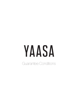# YAASA Guarantee Conditions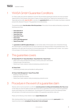# 1 YAASA GmbH Guarantee Conditions

For Yaasa, quality and customer satisfaction come first. We are therefore granting all customers who have purchased Yaasa products in the European online shops of Yaasa, at Amazon (directly from Yaasa as the manufacturer) or from Yaasa sales partners after June 15, 2021, a voluntary, free guarantee for 5 years from the date of purchase on selected products (the "Warranty Products"). This guarantee is to be defined below.

The guarantee applies from the date of the first purchase of the product (invoice date) and basically comprises the following product lines:

- Yaasa Desk Pro II
- Yaasa Desk Basic
- Yaasa Desk One
- Yaasa Desk Frame
- Yaasa Chair
- Yaasa Cable Management
- Yaasa Privacy Wall

The guarantee is valid throughout Europe (i.e in all member states of the European Union, Switzerland, Norway, the United Kingdom, Liechtenstein) and can only be claimed by the original purchaser of the guarantee product. The guarantee is only valid under the premise of normal and appropriate use. The guarantee claim consists - at our option in the exchange or the free repair of the affected guarantee product.

# 2 The guarantee covers

#### (1) Yaasa Desk Pro II | Yaasa Desk Basic | Yaasa Desk One | Yaasa Frame:

- Defect of the motors and electronics (ie drives, controls, power pack, hand switch)
- Rusting through of the steel frame
- Defects due to faulty material or faulty processing (e.g. production errors)

#### (2) Yaasa Chair:

• Controls (e.g. armrests, levers and handles for setting options)

#### (3) Yaasa Cable Management | Yaasa Privacy Wall:

- Breaking or tearing of the felt
- Breaking the aluminium bracket
- Defects due to faulty material or faulty processing (e.g. production errors

## 3 Procedure in the event of a guarantee claim

Warranty claims must be reported to us within the warranty period, in writing and immediately after they occur so that Yaasa can check the defect promptly. We limit/provide our guarantee to the country in which the guaranteed product was handed over to the original buyer. The prerequisite for the assertion is proof of the initial buyer status with submission of the retail invoice and documentation of the guarantee case (photos, video, etc.)

Please use the following contact details to report: support@yaasa.com

After checking whether there is a guarantee claim, we provide a guarantee by providing spare parts for the respective product and/or arranging for the product to be exchanged.